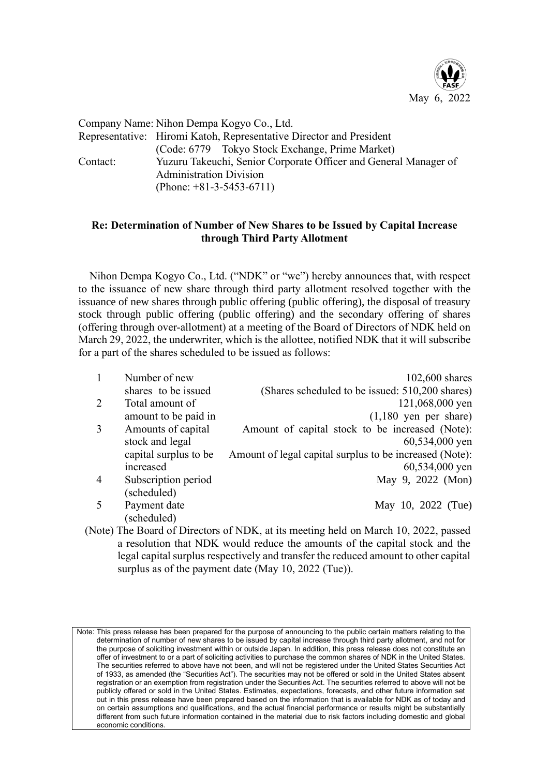

Company Name: Nihon Dempa Kogyo Co., Ltd.

Representative: Hiromi Katoh, Representative Director and President (Code: 6779 Tokyo Stock Exchange, Prime Market) Contact: Yuzuru Takeuchi, Senior Corporate Officer and General Manager of Administration Division (Phone: +81-3-5453-6711)

## **Re: Determination of Number of New Shares to be Issued by Capital Increase through Third Party Allotment**

Nihon Dempa Kogyo Co., Ltd. ("NDK" or "we") hereby announces that, with respect to the issuance of new share through third party allotment resolved together with the issuance of new shares through public offering (public offering), the disposal of treasury stock through public offering (public offering) and the secondary offering of shares (offering through over-allotment) at a meeting of the Board of Directors of NDK held on March 29, 2022, the underwriter, which is the allottee, notified NDK that it will subscribe for a part of the shares scheduled to be issued as follows:

|   | Number of new<br>shares to be issued | $102,600$ shares<br>(Shares scheduled to be issued: 510,200 shares) |
|---|--------------------------------------|---------------------------------------------------------------------|
| 2 | Total amount of                      | 121,068,000 yen                                                     |
|   | amount to be paid in                 | $(1,180$ yen per share)                                             |
|   | Amounts of capital                   | Amount of capital stock to be increased (Note):                     |
|   | stock and legal                      | 60,534,000 yen                                                      |
|   | capital surplus to be                | Amount of legal capital surplus to be increased (Note):             |
|   | increased                            | 60,534,000 yen                                                      |
| 4 | Subscription period                  | May 9, 2022 (Mon)                                                   |
|   | (scheduled)                          |                                                                     |
|   | Payment date                         | May 10, 2022 (Tue)                                                  |
|   | (scheduled)                          |                                                                     |

(Note) The Board of Directors of NDK, at its meeting held on March 10, 2022, passed a resolution that NDK would reduce the amounts of the capital stock and the legal capital surplus respectively and transfer the reduced amount to other capital surplus as of the payment date (May 10, 2022 (Tue)).

Note: This press release has been prepared for the purpose of announcing to the public certain matters relating to the determination of number of new shares to be issued by capital increase through third party allotment, and not for the purpose of soliciting investment within or outside Japan. In addition, this press release does not constitute an offer of investment to or a part of soliciting activities to purchase the common shares of NDK in the United States. The securities referred to above have not been, and will not be registered under the United States Securities Act of 1933, as amended (the "Securities Act"). The securities may not be offered or sold in the United States absent registration or an exemption from registration under the Securities Act. The securities referred to above will not be publicly offered or sold in the United States. Estimates, expectations, forecasts, and other future information set out in this press release have been prepared based on the information that is available for NDK as of today and on certain assumptions and qualifications, and the actual financial performance or results might be substantially different from such future information contained in the material due to risk factors including domestic and global economic conditions.